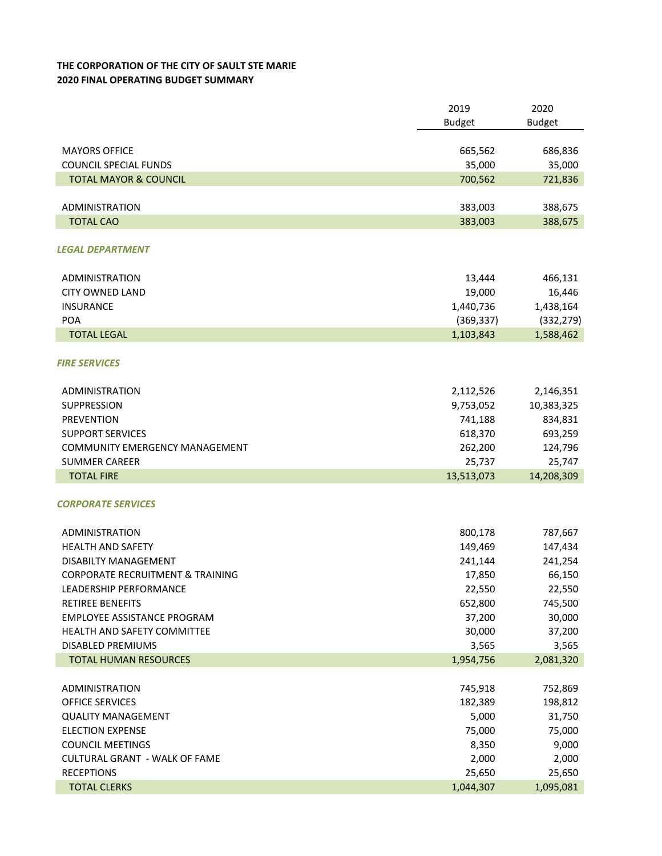## **THE CORPORATION OF THE CITY OF SAULT STE MARIE 2020 FINAL OPERATING BUDGET SUMMARY**

|                                             | 2019          | 2020          |
|---------------------------------------------|---------------|---------------|
|                                             | <b>Budget</b> | <b>Budget</b> |
|                                             |               |               |
| <b>MAYORS OFFICE</b>                        | 665,562       | 686,836       |
| <b>COUNCIL SPECIAL FUNDS</b>                | 35,000        | 35,000        |
| <b>TOTAL MAYOR &amp; COUNCIL</b>            | 700,562       | 721,836       |
|                                             |               |               |
| ADMINISTRATION                              | 383,003       | 388,675       |
| <b>TOTAL CAO</b>                            | 383,003       | 388,675       |
|                                             |               |               |
| LEGAL DEPARTMENT                            |               |               |
|                                             |               |               |
| ADMINISTRATION                              | 13,444        | 466,131       |
| <b>CITY OWNED LAND</b>                      | 19,000        | 16,446        |
| <b>INSURANCE</b>                            | 1,440,736     | 1,438,164     |
| POA                                         | (369, 337)    | (332, 279)    |
| <b>TOTAL LEGAL</b>                          | 1,103,843     | 1,588,462     |
|                                             |               |               |
| <b>FIRE SERVICES</b>                        |               |               |
|                                             |               |               |
| ADMINISTRATION                              | 2,112,526     | 2,146,351     |
| SUPPRESSION                                 | 9,753,052     | 10,383,325    |
| <b>PREVENTION</b>                           | 741,188       | 834,831       |
| <b>SUPPORT SERVICES</b>                     | 618,370       | 693,259       |
| <b>COMMUNITY EMERGENCY MANAGEMENT</b>       | 262,200       | 124,796       |
| <b>SUMMER CAREER</b>                        | 25,737        | 25,747        |
| <b>TOTAL FIRE</b>                           | 13,513,073    | 14,208,309    |
|                                             |               |               |
| <b>CORPORATE SERVICES</b>                   |               |               |
|                                             |               |               |
| ADMINISTRATION                              | 800,178       | 787,667       |
| <b>HEALTH AND SAFETY</b>                    | 149,469       | 147,434       |
| DISABILTY MANAGEMENT                        | 241,144       | 241,254       |
| <b>CORPORATE RECRUITMENT &amp; TRAINING</b> | 17,850        | 66,150        |
| LEADERSHIP PERFORMANCE                      | 22,550        | 22,550        |
| <b>RETIREE BENEFITS</b>                     | 652,800       | 745,500       |
| EMPLOYEE ASSISTANCE PROGRAM                 | 37,200        | 30,000        |
| HEALTH AND SAFETY COMMITTEE                 | 30,000        | 37,200        |
| DISABLED PREMIUMS                           | 3,565         | 3,565         |
| <b>TOTAL HUMAN RESOURCES</b>                | 1,954,756     | 2,081,320     |
|                                             |               |               |
| <b>ADMINISTRATION</b>                       | 745,918       | 752,869       |
| OFFICE SERVICES                             | 182,389       | 198,812       |
| <b>QUALITY MANAGEMENT</b>                   | 5,000         | 31,750        |
| <b>ELECTION EXPENSE</b>                     | 75,000        | 75,000        |
| <b>COUNCIL MEETINGS</b>                     | 8,350         | 9,000         |
| <b>CULTURAL GRANT - WALK OF FAME</b>        | 2,000         | 2,000         |
| <b>RECEPTIONS</b>                           | 25,650        | 25,650        |
| <b>TOTAL CLERKS</b>                         | 1,044,307     | 1,095,081     |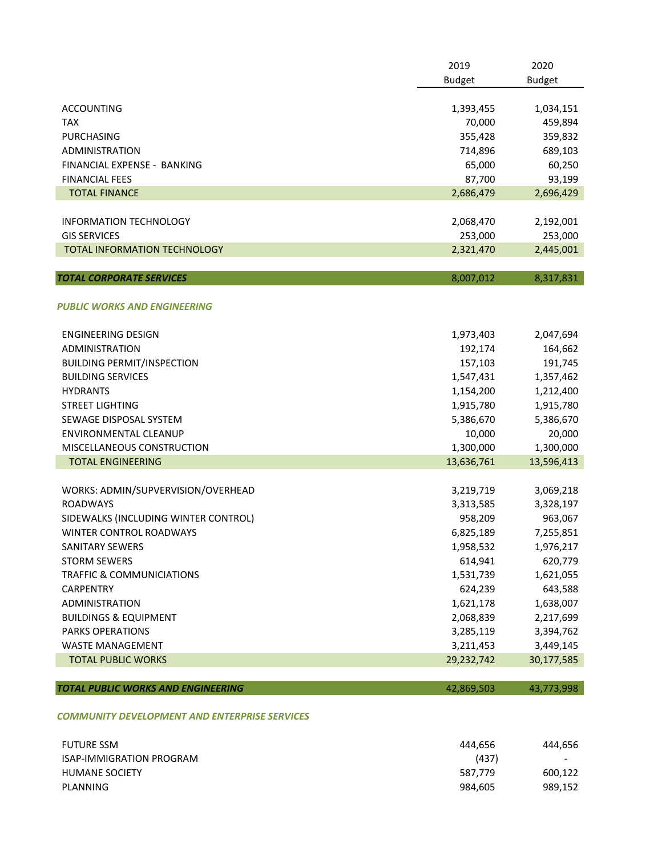|                                               | 2019<br><b>Budget</b> | 2020<br><b>Budget</b> |
|-----------------------------------------------|-----------------------|-----------------------|
| <b>ACCOUNTING</b>                             | 1,393,455             | 1,034,151             |
| <b>TAX</b>                                    | 70,000                | 459,894               |
| PURCHASING                                    | 355,428               | 359,832               |
| <b>ADMINISTRATION</b>                         | 714,896               | 689,103               |
| FINANCIAL EXPENSE - BANKING                   | 65,000                | 60,250                |
| <b>FINANCIAL FEES</b>                         | 87,700                | 93,199                |
| <b>TOTAL FINANCE</b>                          | 2,686,479             | 2,696,429             |
| <b>INFORMATION TECHNOLOGY</b>                 | 2,068,470             | 2,192,001             |
| <b>GIS SERVICES</b>                           | 253,000               | 253,000               |
| <b>TOTAL INFORMATION TECHNOLOGY</b>           | 2,321,470             | 2,445,001             |
| <b>TOTAL CORPORATE SERVICES</b>               | 8,007,012             | 8,317,831             |
|                                               |                       |                       |
| <b>PUBLIC WORKS AND ENGINEERING</b>           |                       |                       |
| <b>ENGINEERING DESIGN</b>                     | 1,973,403             | 2,047,694             |
| <b>ADMINISTRATION</b>                         | 192,174               | 164,662               |
| <b>BUILDING PERMIT/INSPECTION</b>             | 157,103               | 191,745               |
| <b>BUILDING SERVICES</b>                      | 1,547,431             | 1,357,462             |
| <b>HYDRANTS</b>                               | 1,154,200             | 1,212,400             |
| <b>STREET LIGHTING</b>                        | 1,915,780             | 1,915,780             |
| SEWAGE DISPOSAL SYSTEM                        | 5,386,670             | 5,386,670             |
| <b>ENVIRONMENTAL CLEANUP</b>                  | 10,000                | 20,000                |
| MISCELLANEOUS CONSTRUCTION                    | 1,300,000             | 1,300,000             |
| <b>TOTAL ENGINEERING</b>                      | 13,636,761            | 13,596,413            |
| WORKS: ADMIN/SUPVERVISION/OVERHEAD            | 3,219,719             | 3,069,218             |
| <b>ROADWAYS</b>                               | 3,313,585             | 3,328,197             |
| SIDEWALKS (INCLUDING WINTER CONTROL)          | 958,209               | 963,067               |
| <b>WINTER CONTROL ROADWAYS</b>                | 6,825,189             | 7,255,851             |
| SANITARY SEWERS                               | 1,958,532             | 1,976,217             |
| <b>STORM SEWERS</b>                           | 614,941               | 620,779               |
| <b>TRAFFIC &amp; COMMUNICIATIONS</b>          | 1,531,739             | 1,621,055             |
| <b>CARPENTRY</b>                              | 624,239               | 643,588               |
| <b>ADMINISTRATION</b>                         | 1,621,178             | 1,638,007             |
| <b>BUILDINGS &amp; EQUIPMENT</b>              | 2,068,839             | 2,217,699             |
| <b>PARKS OPERATIONS</b>                       | 3,285,119             | 3,394,762             |
| <b>WASTE MANAGEMENT</b>                       | 3,211,453             | 3,449,145             |
| <b>TOTAL PUBLIC WORKS</b>                     | 29,232,742            | 30,177,585            |
| <b>TOTAL PUBLIC WORKS AND ENGINEERING</b>     | 42,869,503            | 43,773,998            |
| COMMUNITY DEVELOPMENT AND ENTERPRISE SERVICES |                       |                       |
| <b>FUTURE SSM</b>                             | 444,656               | 444,656               |
| ISAP-IMMIGRATION PROGRAM                      | (437)                 |                       |

 HUMANE SOCIETY 587,779 600,122 PLANNING 989,152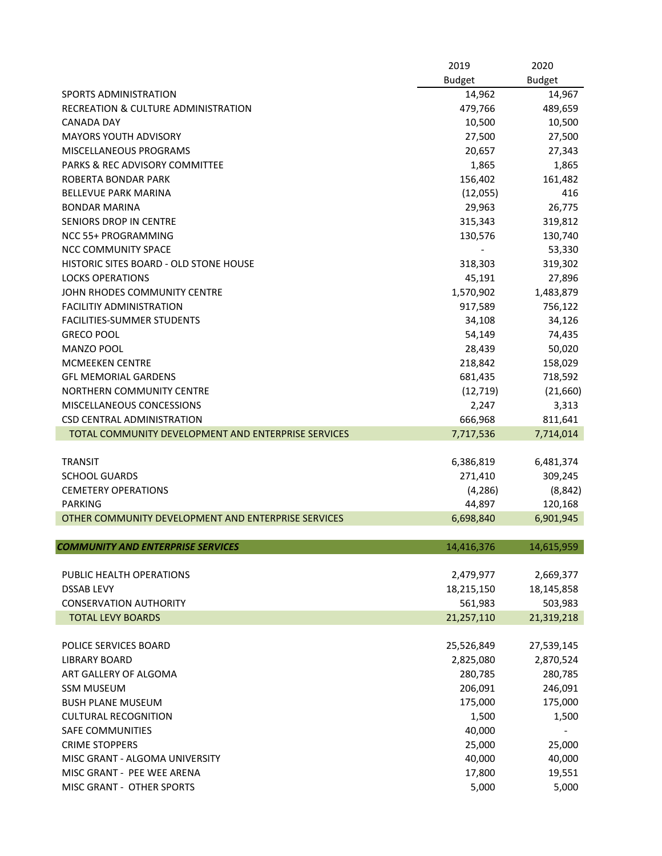|                                                     | 2019          | 2020          |
|-----------------------------------------------------|---------------|---------------|
|                                                     | <b>Budget</b> | <b>Budget</b> |
| <b>SPORTS ADMINISTRATION</b>                        | 14,962        | 14,967        |
| RECREATION & CULTURE ADMINISTRATION                 | 479,766       | 489,659       |
| <b>CANADA DAY</b>                                   | 10,500        | 10,500        |
| <b>MAYORS YOUTH ADVISORY</b>                        | 27,500        | 27,500        |
| MISCELLANEOUS PROGRAMS                              | 20,657        | 27,343        |
| <b>PARKS &amp; REC ADVISORY COMMITTEE</b>           | 1,865         | 1,865         |
| ROBERTA BONDAR PARK                                 | 156,402       | 161,482       |
| <b>BELLEVUE PARK MARINA</b>                         | (12,055)      | 416           |
| <b>BONDAR MARINA</b>                                | 29,963        | 26,775        |
| SENIORS DROP IN CENTRE                              | 315,343       | 319,812       |
| <b>NCC 55+ PROGRAMMING</b>                          | 130,576       | 130,740       |
| NCC COMMUNITY SPACE                                 |               | 53,330        |
| HISTORIC SITES BOARD - OLD STONE HOUSE              | 318,303       | 319,302       |
| <b>LOCKS OPERATIONS</b>                             | 45,191        | 27,896        |
| JOHN RHODES COMMUNITY CENTRE                        | 1,570,902     | 1,483,879     |
| <b>FACILITIY ADMINISTRATION</b>                     | 917,589       | 756,122       |
| <b>FACILITIES-SUMMER STUDENTS</b>                   | 34,108        | 34,126        |
| <b>GRECO POOL</b>                                   | 54,149        | 74,435        |
| <b>MANZO POOL</b>                                   | 28,439        | 50,020        |
| MCMEEKEN CENTRE                                     | 218,842       | 158,029       |
| <b>GFL MEMORIAL GARDENS</b>                         | 681,435       | 718,592       |
| NORTHERN COMMUNITY CENTRE                           | (12, 719)     | (21,660)      |
| <b>MISCELLANEOUS CONCESSIONS</b>                    | 2,247         | 3,313         |
| CSD CENTRAL ADMINISTRATION                          | 666,968       | 811,641       |
| TOTAL COMMUNITY DEVELOPMENT AND ENTERPRISE SERVICES | 7,717,536     | 7,714,014     |
|                                                     |               |               |
| <b>TRANSIT</b>                                      | 6,386,819     | 6,481,374     |
| <b>SCHOOL GUARDS</b>                                | 271,410       | 309,245       |
| <b>CEMETERY OPERATIONS</b>                          | (4, 286)      | (8, 842)      |
| <b>PARKING</b>                                      | 44,897        | 120,168       |
| OTHER COMMUNITY DEVELOPMENT AND ENTERPRISE SERVICES | 6,698,840     | 6,901,945     |
|                                                     |               |               |
| <b>COMMUNITY AND ENTERPRISE SERVICES</b>            | 14,416,376    | 14,615,959    |
|                                                     |               |               |
| PUBLIC HEALTH OPERATIONS                            | 2,479,977     | 2,669,377     |
| <b>DSSAB LEVY</b>                                   | 18,215,150    | 18,145,858    |
| <b>CONSERVATION AUTHORITY</b>                       | 561,983       | 503,983       |
| <b>TOTAL LEVY BOARDS</b>                            | 21,257,110    | 21,319,218    |
|                                                     |               |               |
| POLICE SERVICES BOARD                               | 25,526,849    | 27,539,145    |
| <b>LIBRARY BOARD</b>                                | 2,825,080     | 2,870,524     |
| ART GALLERY OF ALGOMA                               | 280,785       | 280,785       |
| <b>SSM MUSEUM</b>                                   | 206,091       | 246,091       |
| <b>BUSH PLANE MUSEUM</b>                            | 175,000       | 175,000       |
| <b>CULTURAL RECOGNITION</b>                         | 1,500         | 1,500         |
| SAFE COMMUNITIES                                    | 40,000        |               |
| <b>CRIME STOPPERS</b>                               | 25,000        | 25,000        |
| MISC GRANT - ALGOMA UNIVERSITY                      | 40,000        | 40,000        |
| MISC GRANT - PEE WEE ARENA                          | 17,800        | 19,551        |
| MISC GRANT - OTHER SPORTS                           | 5,000         | 5,000         |